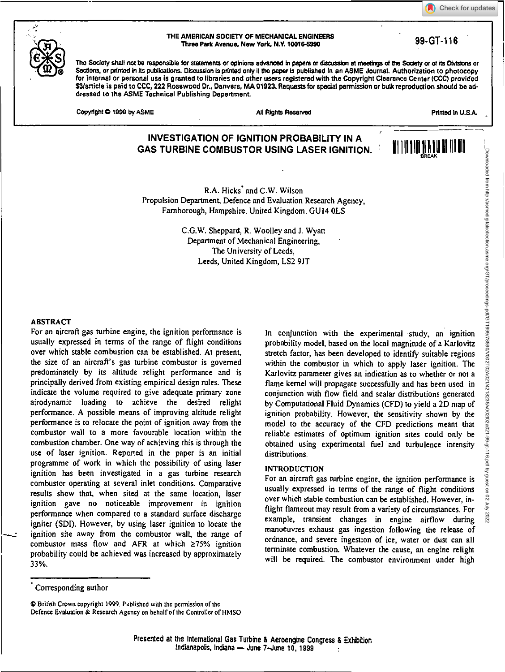Check for updates



#### THE AMERICAN SOCIETY OF MECHANICAL. ENGINEERS AMERICAN SUCIETY OF MECHANICAL ENGINEERS<br>Three Park Avenue, New York, N.Y. 10016-5990 999-901

The Society shall not be responsible for statements or opinions advanced in papers or discussion at meetings of the Society or of its Divisions or Sections, or printed in its publications. Discussion is printed only if the paper is published in an ASME Journal. Authorization to photocopy for internal or personal use is granted to libraries and other users registered with the Copyright Clearance Center (CCC) provided \$3/article is paid to CCC, 222 Rosewood Dr., Danvers, MA 01923. Requests for special permission or bulk reproduction should be addressed to the ASME Technical Publishing Department.

Copyright © 1999 by ASME Affinition of the African Affinition Affinition Affinition African African African African African African African African African African African African African African African African African Af

# **INVESTIGATION OF IGNITION PROBABILITY IN A GAS TURBINE COMBUSTOR USING LASER IGNITION.** III 1111111111<sup>111111111</sup>

R.A. Hicks' and C.W. Wilson Propulsion Department, Defence and Evaluation Research Agency, Farnborough, Hampshire, United Kingdom, GU14 0LS

> C.G.W. Sheppard, R. Woolley and J. Wyatt Department of Mechanical Engineering, The University of Leeds, Leeds, United Kingdom, LS2 9JT

## ABSTRACT

For an aircraft gas turbine engine, the ignition performance is usually expressed in terms of the range of flight conditions over which stable combustion can be established. At present, the size of an aircraft's gas turbine combustor is governed predominately by its altitude relight performance and is principally derived from existing empirical design rules. These indicate the volume required to give adequate primary zone airodynamic loading to achieve the desired relight performance. A possible means of improving altitude relight performance is to relocate the point of ignition away from the combustor wall to a more favourable location within the combustion chamber. One way of achieving this is through the use of laser ignition. Reported in the paper is an initial programme of work in which the possibility of using laser ignition has been investigated in a gas turbine research combustor operating at several inlet conditions. Comparative results show that, when sited at the same location, laser ignition gave no noticeable improvement in ignition performance when compared to a standard surface discharge igniter (SDI). However, by using laser ignition to locate the ignition site away from the combustor wall, the range of combustor mass flow and AFR at which  $\geq 75\%$  ignition probability could be achieved was increased by approximately 33%.

In conjunction with the experimental • study, an ignition probability model, based on the local magnitude of a Karlovitz stretch factor, has been developed to identify suitable regions within the combustor in which to apply *laser* ignition. The Karlovitz parameter gives an indication as to whether or not a flame kernel will propagate successfully and has been used in conjunction with flow field and scalar distributions generated by Computational Fluid Dynamics (CFD) to yield a 2D map of ignition probability. However, the sensitivity shown by the model to the accuracy of the CFD predictions meant that reliable estimates of optimum ignition sites could only be obtained using experimental fuel and turbulence intensity distributions.

### INTRODUCTION

For an aircraft gas turbine engine, the ignition performance is usually expressed in terms of the range of flight conditions over which stable combustion can be established. However, inflight flameout may result from a variety of circumstances. For example, transient changes in engine airflow during manoeuvres exhaust gas ingestion following the release of ordnance, and severe ingestion of ice, water or dust can all terminate combustion. Whatever the cause, an engine relight will be required. The combustor environment under high

0 British Crown copyright 1999. Published with the permission of the Defence Evaluation & Research Agency on behalf of the Controller of HMSO

Corresponding author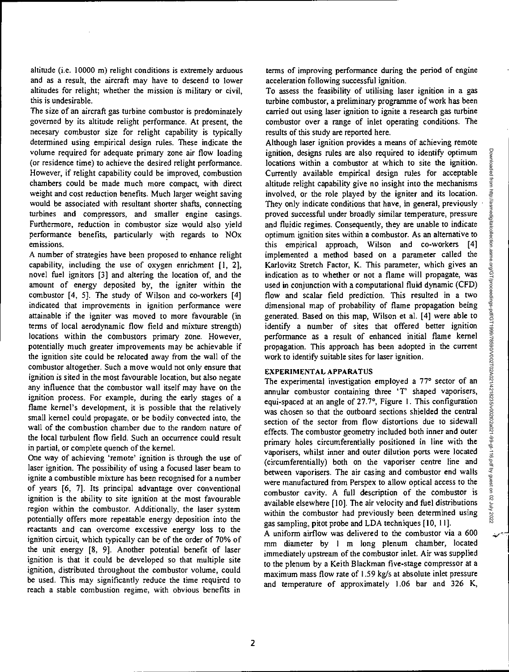altitude (i.e. 10000 m) relight conditions is extremely arduous and as a result, the aircraft may have to descend to lower altitudes for relight; whether the mission is military or civil, this is undesirable.

The size of an aircraft gas turbine combustor is predominately governed by its altitude relight performance. At present, the necesary combustor size for relight capability is typically determined using empirical design rules. These indicate the volume required for adequate primary zone air flow loading (or residence time) to achieve the desired relight performance. However, if relight capability could be improved, combustion chambers could be made much more compact, with direct weight and cost reduction benefits. Much larger weight saving would be associated with resultant shorter shafts, connecting turbines and compressors, and smaller engine casings. Furthermore, reduction in combustor size would also yield performance benefits, particularly with regards to NOx emissions.

A number of strategies have been proposed to enhance relight capability, including the use of oxygen enrichment [1, 2], novel fuel ignitors [3] and altering the location of, and the amount of energy deposited by, the igniter within the combustor *[4,* 5]. The study of Wilson and co-workers [4] indicated that improvements in ignition performance were attainable if the igniter was moved to more favourable (in terms of local aerodynamic flow field and mixture strength) locations within the combustors primary zone. However, potentially much greater improvements may be achievable if the ignition site could be relocated away from the wall of the combustor altogether. Such a move would not only ensure that ignition is sited in the most favourable location, but also negate any influence that the combustor wall itself may have on the ignition process. For example, during the early stages of a flame kernel's development, it is possible that the relatively small kernel could propagate, or be bodily convected into, the wall of the combustion chamber due to the random nature of the local turbulent flow field. Such an occurrence could result in partial, or complete quench of the kernel.

One way of achieving 'remote' ignition is through the use of laser ignition. The possibility of using a focused laser beam to ignite a combustible mixture has been recognised for a number of years [6, 7]. Its principal advantage over conventional ignition is the ability to site ignition at the most favourable region within the combustor. Additionally, the laser system potentially offers more repeatable energy deposition into the reactants and can overcome excessive energy loss to the ignition circuit, which typically can be of the order of 70% of the unit energy [8, 9]. Another potential benefit of laser ignition is that it could be developed so that multiple site ignition, distributed throughout the combustor volume, could be used. This may significantly reduce the time required to reach a stable combustion regime, with obvious benefits in

terms of improving performance during the period of engine acceleration following successful ignition.

To assess the feasibility of utilising laser ignition in a gas turbine combustor, a preliminary programme of work has been carried out using laser ignition to ignite a research gas turbine combustor over a range of inlet operating conditions. The results of this study are reported here.

Although laser ignition provides a means of achieving remote ignition, designs rules are also required to identify optimum locations within a combustor at which to site the ignition. Currently available empirical design rules for acceptable altitude relight capability give no insight into the mechanisms involved, or the role played by the igniter and its location. They only indicate conditions that have, in general, previously proved successful under broadly similar temperature, pressure and fluidic regimes. Consequently, they are unable to indicate optimum ignition sites within a combustor. As an alternative to this empirical approach, Wilson and co-workers [4] implemented a method based on a parameter called the Karlovitz Stretch Factor, K. This parameter, which gives an indication as to whether or not a flame will propagate, was used in conjunction with a computational fluid dynamic (CFD) flow and scalar field prediction. This resulted in a two dimensional map of probability of flame propagation being generated. Based on this map, Wilson et al. [4] were able to identify a number of sites that offered better ignition performance as a result of enhanced initial flame kernel propagation. This approach has been adopted in the current work to identify suitable sites for laser ignition.

### EXPERIMENTAL APPARATUS

The experimental investigation employed a 77° sector of an annular combustor containing three 'T' shaped vaporisers, equi-spaced at an angle of 27.7°, Figure I. This configuration was chosen so that the outboard sections shielded the central section of the sector from flow distortions due to sidewall effects. The combustor geometry included both inner and outer primary holes circumferentially positioned in line with the vaporisers, whilst inner and outer dilution ports were located (circumferentially) both on the vaporiser centre line and between vaporisers. The air casing and combustor end walls were manufactured from Perspex to allow optical access to the combustor cavity. A full description of the combustor is available elsewhere [10]. The air velocity and fuel distributions within the combustor had previously been determined using gas sampling, pitot probe and LDA techniques [10, 11].

A uniform airflow was delivered to the combustor via a 600 mm diameter by I m long plenum chamber, located immediately upstream of the combustor inlet. Air was supplied to the plenum by a Keith Blackman five-stage compressor at a maximum mass flow rate of 1.59 kg/s at absolute inlet pressure and temperature of approximately 1.06 bar and 326 K,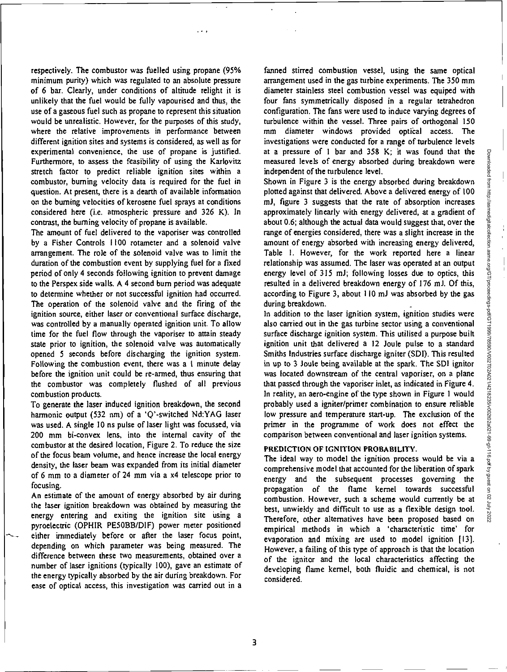respectively. The combustor was fuelled using propane (95% minimum purity) which was regulated to an absolute pressure of 6 bar. Clearly, under conditions of altitude relight it is unlikely that the fuel would be fully vapourised and thus, the use of a gaseous fuel such as propane to represent this situation would be unrealistic. However, for the purposes of this study, where the relative improvements in performance between different ignition sites and systems is considered, as well as for experimental convenience, the use of propane is justified. Furthermore, to assess the feasibility of using the Karlovitz stretch factor to predict reliable ignition sites within a combustor, burning velocity data is required for the fuel in question. At present, there is a dearth of available information on the burning velocities of kerosene fuel sprays at conditions considered here (i.e. atmospheric pressure and 326 K). In contrast, the burning velocity of propane is available.

The amount of fuel delivered to the vaporiser was controlled by a Fisher Controls 1100 rotameter and a solenoid valve arrangement. The role of the solenoid valve was to limit the duration of the combustion event by supplying fuel for a fixed period of only 4 seconds following ignition to prevent damage to the Perspex side walls. A 4 second burn period was adequate to determine whether or not successful ignition had occurred. The operation of the solenoid valve and the firing of the ignition source, either laser or conventional surface discharge, was controlled by a manually operated ignition unit. To allow time for the fuel flow through the vaporiser to attain steady state prior to ignition, the solenoid valve was automatically opened 5 seconds before discharging the ignition system. Following the combustion event, there was a I minute delay before the ignition unit could be re-armed, thus ensuring that the combustor was completely flushed of all previous combustion products.

To generate the laser induced ignition breakdown, the second harmonic output (532 nm) of a 'Q'-switched Nd:YAG laser was used. A single 10 ns pulse of laser light was focussed, via 200 mm bi-convex lens, into the internal cavity of the combustor at the desired location, Figure 2. To reduce the size of the focus beam volume, and hence increase the local energy density, the laser beam was expanded from its initial diameter of 6 mm to a diameter of 24 mm via a x4 telescope prior to focusing.

An estimate of the amount of energy absorbed by air during the laser ignition breakdown was obtained by measuring the energy entering and exiting the ignition site using a pyroelectric (OPHIR PE5OBB/DIF) power meter positioned either immediately before or after the laser focus point, depending on which parameter was being measured. The difference between these two measurements, obtained over a number of laser ignitions (typically 100), gave an estimate of the energy typically absorbed by the air during breakdown. For ease of optical access, this investigation was carried out in a

fanned stirred combustion vessel, using the same optical arrangement used in the gas turbine experiments. The 350 mm diameter stainless steel combustion vessel was equiped with four fans symmetrically disposed in a regular tetrahedron configuration. The fans were used to induce varying degrees of turbulence within the vessel. Three pairs of orthogonal 150 mm diameter windows provided optieal access. The investigations were conducted for a range of turbulence levels at a pressure of 1 bar and 358 K; it was found that the measured levels of energy absorbed during breakdown were independent of the turbulence level.

Shown in Figure 3 is the energy absorbed during breakdown plotted against that delivered. Above a delivered energy of 100 mJ, figure 3 suggests that the rate of absorption increases approximately linearly with energy delivered, at a gradient of about 0.6; although the actual data would suggest that, over the range of energies considered, there was a slight increase in the amount of energy absorbed with increasing energy delivered, Table I. However, for the work reported here a linear relationship was assumed. The laser was operated at an output energy level of 315 ml; following losses due to optics, this resulted in a delivered breakdown energy of 176 mJ. Of this, according to Figure 3, about 110 ml was absorbed by the gas during breakdown.

In addition to the laser ignition system, ignition studies were also carried out in the gas turbine sector using a conventional surface discharge ignition system. This utilised a purpose built ignition unit that delivered a 12 Joule pulse to a standard Smiths Industries surface discharge igniter (SDI). This resulted in up to 3 Joule being available at the spark. The SDI ignitor was located downstream of the central vaporiser, on a plane that passed through the vaporiser inlet, as indicated in Figure 4. In reality, an aero-engine of the type shown in Figure 1 would probably used a igniter/primer combination to ensure reliable low pressure and temperature start-up. The exclusion of the primer in the programme of work does not effect the comparison between conventional and laser ignition systems.

## **PREDICTION OF IGNITION PROBABILITY.**

The ideal way to model the ignition process would be via a comprehensive model that accounted for the liberation of spark energy and the subsequent processes governing the propagation of the flame kernel towards successful combustion. However, such a scheme would currently be at best, unwieldy and difficult to use as a flexible design tool. Therefore, other alternatives have been proposed based on empirical methods in which a 'characteristic time' for evaporation and mixing are used to model ignition [13]. However, a failing of this type of approach is that the location of the ignitor and the local characteristics affecting the developing flame kernel, both fluidic and chemical, is not considered.

3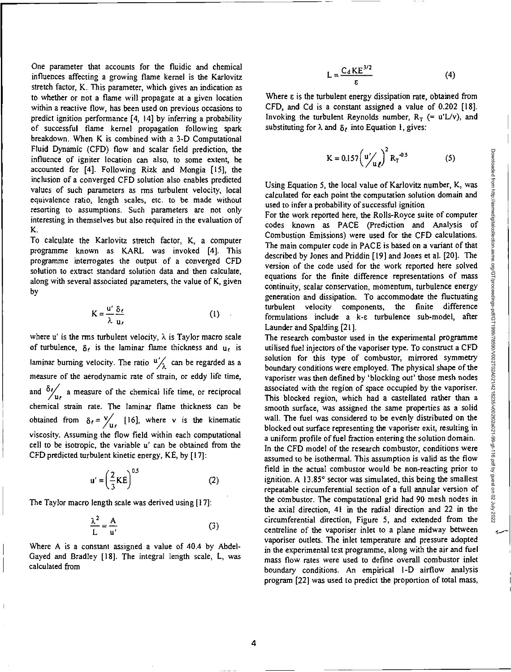One parameter that accounts for the fluidic and chemical influences affecting a growing flame kernel is the Karlovitz stretch factor, K. This parameter, which gives an indication as to whether or not a flame will propagate at a given location within a reactive flow, has been used on previous occasions to predict ignition performance [4, 14] by inferring a probability of successful flame kernel propagation following spark breakdown. When K is combined with a 3-D Computational Fluid Dynamic (CFD) flow and scalar field prediction, the influence of igniter location can also, to some extent, be accounted for [4]. Following Rizk and Mongia [15], the inclusion of a converged CFD solution also enables predicted values of such parameters as rms turbulent velocity, local equivalence ratio, length scales, etc. to be made without resorting to assumptions. Such parameters are not only interesting in themselves but also required in the evaluation of K.

To calculate the Karlovitz stretch factor, K, a computer programme known as KARL was invoked [41. This programme interrogates the output of a converged CFD solution to extract standard solution data and then calculate, along with several associated parameters, the value of K, given by

$$
K = \frac{u'}{\lambda} \frac{\delta_{\ell}}{u_{\ell}} \tag{1}
$$

where  $u'$  is the rms turbulent velocity,  $\lambda$  is Taylor macro scale of turbulence,  $\delta_{\ell}$  is the laminar flame thickness and  $\mathbf{u}_{\ell}$  is laminar burning velocity. The ratio  $\frac{u}{\lambda}$  can be regarded as a measure of the aerodynamic rate of strain, or eddy life time, and  $\frac{\partial y}{\partial u}$  a measure of the chemical life time, or reciprocal chemical strain rate. The laminar flame thickness can be obtained from  $\delta_{\ell} = \frac{V}{\mu_{\ell}}$  [16], where v is the kinematic viscosity. Assuming the flow field within each computational cell to be isotropic, the variable u' can be obtained from the CFD predicted turbulent kinetic energy, KE, by [17]:

$$
u' = \left(\frac{2}{3}KE\right)^{0.5}
$$
 (2)

The Taylor macro length scale was derived using [17]:

$$
\frac{\lambda^2}{L} = \frac{A}{u'}\tag{3}
$$

Where A is a constant assigned a value of 40.4 by Abdel-Gayed and Bradley [18]. The integral length scale, L, was calculated from

$$
L = \frac{C_d KE^{3/2}}{\epsilon} \tag{4}
$$

Where  $\varepsilon$  is the turbulent energy dissipation rate, obtained from CFD, and Cd is a constant assigned a value of 0.202 [18]. Invoking the turbulent Reynolds number,  $R_T$  (= u'L/v), and substituting for  $\lambda$  and  $\delta$ , into Equation 1, gives:

$$
K = 0.157 \left( u' /_{u} \right)^2 R_T^{-0.5}
$$
 (5)

Using Equation 5, the local value of Karlovitz number, K, was calculated for each point the computation solution domain and used to infer a probability of successful ignition

For the work reported here, the Rolls-Royce suite of computer codes known as PACE (Prediction and Analysis of Combustion Emissions) were used for the CFD calculations. The main computer code in PACE is based on a variant of that described by Jones and Priddin [19] and Jones et al. [20]. The version of the code used for the work reported here solved equations for the finite difference representations of mass continuity, scalar conservation, momentum, turbulence energy generation and dissipation. To accommodate the fluctuating turbulent velocity components, the finite difference formulations include a k-c turbulence sub-model, after Launder and Spalding [21].

The research combustor used in the experimental programme utilised fuel injectors of the vaporiser type. To construct a CFD solution for this type of combustor, mirrored symmetry boundary conditions were employed. The physical shape of the vaporiser was then defined by 'blocking out' those mesh nodes associated with the region of space occupied by the vaporiser. This blocked region, which had a castellated rather than a smooth surface, was assigned the same properties as a solid wall. The fuel was considered to be evenly distributed on the blocked out surface representing the vaporiser exit, resulting in a uniform profile of fuel fraction entering the solution domain. In the CFD model of the research combustor, conditions were assumed to be isothermal. This assumption is valid as the flow field in the actual combustor would be non-reacting prior to ignition. A 13.85° sector was simulated, this being the smallest repeatable circumferential section of a full annular version of the combustor. The computational grid had 90 mesh nodes in the axial direction, 41 in the radial direction and 22 in the circumferential direction, Figure 5, and extended from the centreline of the vaporiser inlet to a plane midway between vaporiser outlets. The inlet temperature and pressure adopted in the experimental test programme, along with the air and fuel mass flow rates were used to define overall combustor inlet boundary conditions. An empirical 1-D airflow analysis program [22] was used to predict the proportion of total mass,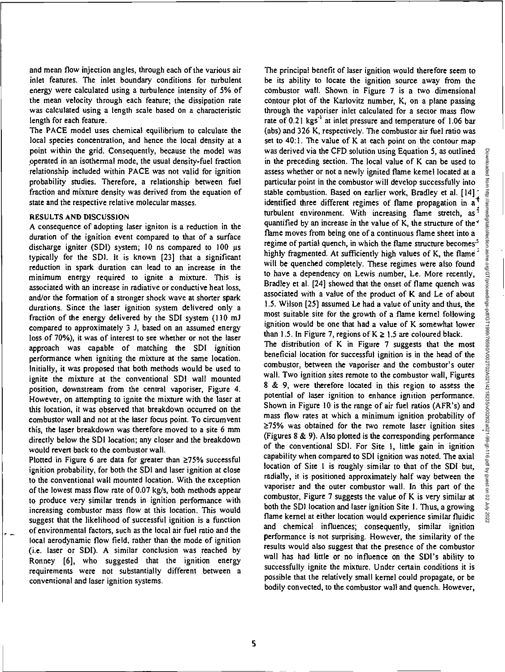and mean flow injection angles, through each of the various air inlet features. The inlet boundary conditions for turbulent energy were calculated using a turbulence intensity of 5% of the mean velocity through each feature; the dissipation rate was calculated using a length scale based on a characteristic length for each feature.

The PACE model uses chemical equilibrium to calculate the local species concentration, and hence the local density at a point within the grid. Consequently, because the model was operated in an isothermal mode, the usual density-fuel fraction relationship included within PACE was not valid for ignition probability studies. Therefore, a relationship between fuel fraction and mixture density was derived from the equation of state and the respective relative molecular masses.

## RESULTS AND DISCUSSION

A consequence of adopting laser igniton is a reduction in the duration of the ignition event compared to that of a surface discharge igniter (SDI) system; 10 ns compared to 100 us typically for the SDI. It is known [23] that a significant reduction in spark duration can lead to an increase in the minimum energy required to ignite a mixture. This is associated with an increase in radiative or conductive heat loss, and/or the formation of a stronger shock wave at shorter spark durations. Since the laser ignition system delivered only a fraction of the energy delivered by the SDI system (110 ml compared to approximately 3 1, based on an assumed energy loss of 70%), it was of interest to see whether or not the laser approach was capable of matching the SDI ignition performance when igniting the mixture at the same location. Initially, it was proposed that both methods would be used to ignite the mixture at the conventional SDI wall mounted position, downstream from the central vaporiser, Figure 4. However, on attempting to ignite the mixture with the laser at this location, it was observed that breakdown occurred on the combustor wall and not at the laser focus point. To circumvent this, the laser breakdown was therefore moved to a site 6 mm directly below the SDI location; any closer and the breakdown would revert back to the combustor wall.

Plotted in Figure 6 are data for greater than  $\geq 75\%$  successful ignition probability, for both the SDI and laser ignition at close to the conventional wall mounted location. With the exception of the lowest mass flow rate of 0.07 kg/s, both methods appear to produce very similar trends in ignition performance with increasing combustor mass flow at this location. This would suggest that the likelihood of successful ignition is a function of environmental factors, such as the local air fuel ratio and the local aerodynamic flow field, rather than the mode of ignition (i.e. laser or SDI). A similar conclusion was reached by Ronney [6], who suggested that the ignition energy requirements were not substantially different between a conventional and laser ignition systems.

The principal benefit of laser ignition would therefore seem to be its ability to locate the ignition source away from the combustor wall. Shown in Figure 7 is a two dimensional contour plot of the Karlovitz number, K, on a plane passing through the vaporiser inlet calculated for a sector mass flow rate of  $0.21$  kgs<sup>-1</sup> at inlet pressure and temperature of 1.06 bar (abs) and 326 K, respectively. The combustor air fuel ratio was set to 40:1. The value of K at each point on the contour map was derived via the CFD solution using Equation 5, as outlined in the preceding section. The local value of K can be used to assess whether or not a newly ignited flame kernel located at a particular point in the combustor will develop successfully into stable combustion. Based on earlier work, Bradley et al.  $[14]$ <sup>t</sup>. identified three different regimes of flame propagation in  $a^3$ turbulent environment. With increasing flame stretch, as<sup>5</sup> quantified by an increase in the value of K, the structure of the  $\checkmark$ flame moves from being one of a continuous flame sheet into a regime of partial quench, in which the flame structure becomes<sup>3</sup> highly fragmented. At sufficiently high values of K, the flame<sup>2</sup> will be quenched completely. These regimes were also found to have a dependency on Lewis number, Le. More recently, Bradley et al. [24] showed that the onset of flame quench was associated with a value of the product of K and Le of about 1.5. Wilson [25] assumed Le had a value of unity and thus, the most suitable site for the growth of a flame kernel following ignition would be one that had a value of K somewhat lower than 1.5. In Figure 7, regions of  $K \ge 1.5$  are coloured black.

The distribution of K in Figure 7 suggests that the most beneficial location for successful ignition is in the head of the combustor, between the vaporiser and the combustor's outer wall. Two ignition sites remote to the combustor wall, Figures 8 & 9, were therefore located in this region to assess the potential of laser ignition to enhance ignition performance. Shown in Figure 10 is the range of air fuel ratios (AFR's) and mass flow rates at which a minimum ignition probability of  $\geq$ 75% was obtained for the two remote laser ignition sites (Figures 8 & 9). Also plotted is the corresponding performance of the conventional SDI. For Site I, little gain in ignition capability when compared to SDI ignition was noted. The axial location of Site 1 is roughly similar to that of the SDI but, radially, it is positioned approximately half way between the vaporiser and the outer combustor wall. In this part of the combustor, Figure 7 suggests the value of K is very similar at both the SDI location and laser ignition Site I. Thus, a growing flame kernel at either location would experience similar fluidic and chemical influences; consequently, similar ignition performance is not surprising. However, the similarity of the results would also suggest that the presence of the combustor wall has had little or no influence on the SDI's ability to successfully ignite the mixture. Under certain conditions it is possible that the relatively small kernel could propagate, or be bodily convected, to the combustor wall and quench. However,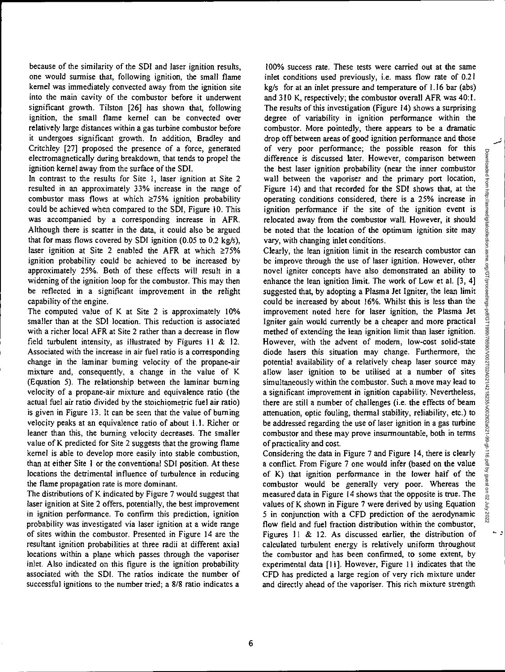because of the similarity of the *SDI and* laser ignition results, one would surmise that, following ignition, the small flame kernel was immediately convected away from the ignition site into the main cavity of the combustor before it underwent significant growth. Tilston [26] has shown that, following ignition, the small flame kernel can be convected over relatively large distances within a gas turbine combustor before it undergoes significant growth. In addition, Bradley and Critchley [27] proposed the presence of a force, generated electromagnetically during breakdown, that tends to propel the ignition kernel away from the surface of the SDI.

In contrast to the results for Site 1, laser ignition at Site 2 resulted in an approximately 33% increase in the range of combustor mass flows at which  $\geq$ 75% ignition probability could be achieved when compared to the SDI, Figure 10. This was accompanied by a corresponding increase in AFR. Although there is scatter in the data, it could also be argued that for mass flows covered by SDI ignition (0.05 to 0.2 kg/s), laser ignition at Site 2 enabled the AFR at which  $\geq 75\%$ ignition probability could be achieved to be increased by approximately 25%. Both of these effects will result in a widening of the ignition loop for the combustor. This may then be reflected in a significant improvement in the relight capability of the engine.

The computed value of K at Site 2 is approximately 10% smaller than at the SDI location. This reduction is associated with a richer local AFR at Site 2 rather than a decrease in flow field turbulent intensity, as illustrated by Figures 11 & 12. Associated with the increase in air fuel ratio is a corresponding change in the laminar burning velocity of the propane-air mixture and, consequently, a change in the value of K (Equation 5). The relationship between the laminar burning velocity of a propane-air mixture and equivalence ratio (the actual fuel air ratio divided by the stoichiometric fuel air ratio) is given in Figure 13. It can be seen that the value of burning velocity peaks at an equivalence ratio of about 1.1. Richer or leaner than this, the burning velocity decreases. The smaller value of K predicted for Site 2 suggests that the growing flame kernel is able to develop more easily into stable combustion, than at either Site 1 or the conventional SDI position. At these locations the detrimental influence of turbulence in reducing the flame propagation rate is more dominant.

The distributions of K indicated by Figure 7 would suggest that laser ignition at Site 2 offers, potentially, the best improvement in ignition performance. To confirm this prediction, ignition probability was investigated via laser ignition at a wide range of sites within the combustor. Presented in Figure 14 are the resultant ignition probabilities at three radii at different axial locations within a plane which passes through the vaporiser inlet. Also indicated on this figure is the ignition probability associated with the SDI. The ratios indicate the number of successful ignitions to the number tried; a 8/8 ratio indicates a

100% success rate. These tests were carried out at the same inlet conditions used previously, i.e. mass flow rate of 0.21 kg/s for at an inlet pressure and temperature of 1.16 bar (abs) and 310 K, respectively; the combustor overall AFR was 40:1. The results of this investigation (Figure 14) shows a surprising degree of variability in ignition performance within the combustor. More pointedly, there appears to be a dramatic drop off between areas of good ignition performance and those of very poor performance; the possible reason for this difference is discussed later. However, comparison between the best laser ignition probability (near the inner combustor wall between the vaporiser and the primary port location, Figure 14) and that recorded for the SDI shows that, at the operating conditions considered, there is a 25% increase in ignition performance if the site of the ignition event is relocated away from the combustor wall. However, it should be noted that the location of the optimum ignition site may vary, with changing inlet conditions.

Clearly, the lean ignition limit in the research combustor can be improve through the use of laser ignition. However, other novel igniter concepts have also demonstrated an ability to enhance the lean ignition limit. The work of Low et al. [3, 4] suggested that, by adopting a Plasma Jet Igniter, the lean limit could be increased by about 16%. Whilst this is less than the improvement noted here for laser ignition, the Plasma Jet Igniter gain would currently be a cheaper and more practical methed of extending the lean ignition limit than laser ignition. However, with the advent of modern, low-cost solid-state diode lasers this situation may change. Furthermore, the potential availability of a relatively cheap laser source may allow laser ignition to be utilised at a number of sites simultaneously within the combustor. Such a move may lead to a significant improvement in ignition capability. Nevertheless, there are still a number of challenges (i.e. the effects of beam attenuation, optic fouling, thermal stability, reliability, etc.) to be addressed regarding the use of laser ignition in a gas turbine combustor and these may prove insurmountable, both in terms of practicality and cost.

Considering the data in Figure 7 and Figure 14, there is clearly a conflict. From Figure 7 one would infer (based on the value of K) that ignition performance in the lower half of the combustor would be generally very poor. Whereas the measured data in Figure 14 shows that the opposite is true. The values of K shown in Figure 7 were derived by using Equation 5 in conjunction with a CFD prediction of the aerodynamic flow field and fuel fraction distribution within the combustor, Figures 11 & 12. As discussed earlier, the distribution of calculated turbulent energy is relatively uniform throughout the combustor and has been confirmed, to some extent, by experimental data [11]. However, Figure II indicates that the CFD has predicted a large region of very rich mixture under and directly ahead of the vaporiser. This rich mixture strength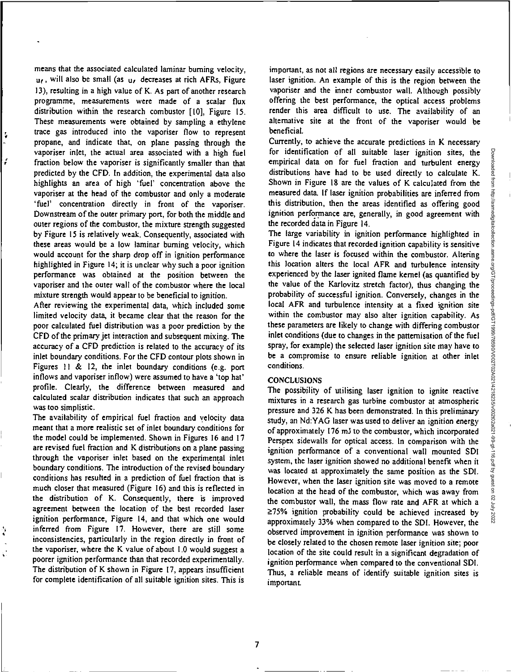means that the associated calculated laminar burning velocity,  $u_{\ell}$ , will also be small (as  $u_{\ell}$  decreases at rich AFRs, Figure 13), resulting in a high value of K. As part of another research programme, measurements were made of a scalar flux distribution within the research combustor [1O], Figure 15. These measurements were obtained by sampling a ethylene trace gas introduced into the vaporiser flow to represent propane, and indicate that, on plane passing through the vaporiser inlet, the actual area associated with a high fuel fraction below the vaporiser is significantly smaller than that predicted by the CFD. In addition, the experimental data also highlights an area of high 'fuel' concentration above the vaporiser at the head of the combustor and only a moderate 'fuel' concentration directly in front of the vaporiser. Downstream of the outer primary port, for both the middle and outer regions of the combustor, the mixture strength suggested by Figure 15 is relatively weak. Consequently, associated with these areas would be a low laminar burning velocity, which would account for the sharp drop off in ignition performance highlighted in Figure 14; it is unclear why such a poor ignition performance was obtained at the position between the vaporiser and the outer wall of the combustor where the local mixture strength would appear to be beneficial to ignition.

÷,

After reviewing the experimental data, which included some limited velocity data, it became clear that the reason for the poor calculated fuel distribution was a poor prediction by the CFD of the primary jet interaction and subsequent mixing. The accuracy of a CFD prediction is related to the accuracy of its inlet boundary conditions. For the CFD contour plots shown in Figures  $11 \& 12$ , the inlet boundary conditions (e.g. port inflows and vaporiser inflow) were assumed to have a 'top hat' profile. Clearly, the difference between measured and calculated scalar distribution indicates that such an approach was too simplistic.

The availability of empirical fuel fraction and velocity data meant that a more realistic set of inlet boundary conditions for the model could be implemented. Shown in Figures 16 and 17 are revised fuel fraction and K distributions on a plane passing through the vaporiser inlet based on the experimental inlet boundary conditions. The introduction of the revised boundary conditions has resulted in a prediction of fuel fraction that is much closer that measured (Figure 16) and this is reflected in the distribution of K. Consequently, there is improved agreement between the location of the best recorded laser ignition performance, Figure 14, and that which one would inferred from Figure 17. However, there are still some inconsistencies, particularly in the region directly in front of the vaporiser, where the K value of about 1.0 would suggest a poorer ignition performance than that recorded experimentally. The distribution of K shown in Figure 17, appears insufficient for complete identification of all suitable ignition sites. This is

important, as not all regions are necessary easily accessible to laser ignition. An example of this is the region between the vaporiser and the inner combustor wall. Although possibly offering the best performance, the optical access problems render this area difficult to use. The availability of an alternative site at the front of the vaporiser would be beneficial.

Currently, to achieve the accurate predictions in K necessary for identification of all suitable laser ignition sites, the empirical data on for fuel fraction and turbulent energy distributions have had to be used directly to calculate K. Shown in Figure 18 are the values of K calculated from the measured data. If laser ignition probabilities are inferred from this distribution, then the areas identified as offering good ignition performance are, generally, in good agreement with the recorded data in Figure 14.

The large variability in ignition performance highlighted in Figure 14 indicates that recorded ignition capability is sensitive to where the laser is focused within the combustor. Altering this location alters the local AFR and turbulence intensity experienced by the laser ignited flame kernel (as quantified by the value of the Karlovitz stretch factor), thus changing the probability of successful ignition. Conversely, changes in the local AFR and turbulence intensity at a fixed ignition site within the combustor may also alter ignition capability. As these parameters are likely to change with differing combustor inlet conditions (due to changes in the pattemisation of the fuel spray, for example) the selected laser ignition site may have to be a compromise to ensure reliable ignition at other inlet conditions.

## **CONCLUSIONS**

The possibility of utilising laser ignition to ignite reactive mixtures in a research gas turbine combustor at atmospheric pressure and 326 K has been demonstrated. In this preliminary study, an Nd:YAG laser was used to deliver an ignition energy of approximately 176 m1 to the combustor, which incorporated Perspex sidewalls for optical access. In comparison with the ignition performance of a conventional wall mounted SDI system, the laser ignition showed no additional benefit when it was located at approximately the same position as the SDI. However, when the laser ignition site was moved to a remote location at the head of the combustor, which was away from the combustor wall, the mass flow rate and AFR at which a  $\geq$ 75% ignition probability could be achieved increased by approximately 33% when compared to the SDI. However, the observed improvement in ignition performance was shown to be closely related to the chosen remote laser ignition site; poor location of the site could result in a significant degradation of ignition performance when compared to the conventional SDI. Thus, a reliable means of identify suitable ignition sites is important.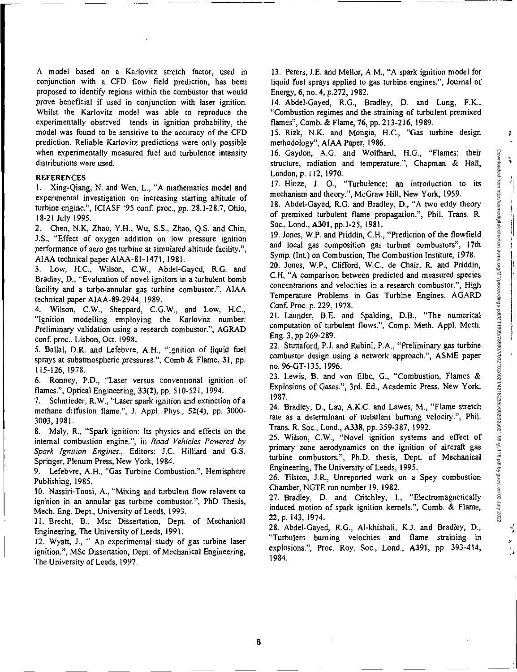$\mathbf{I}$ 

 $\mathcal{L}_{\mathbf{q}}$ 

A model based on a Karlovitz stretch factor, used in conjunction with a CFD flow field prediction, has been proposed to identify regions within the combustor that would prove beneficial if used in conjunction with laser ignition. Whilst the Karlovitz model was able to reproduce the experimentally observed tends in ignition probability, the model was found to be sensitive to the accuracy of the CFD prediction. Reliable Karlovitz predictions were only possible when experimentally measured fuel and turbulence intensity distributions were used.

## **REFERENCES**

I. Xing-Qiang, N. and Wen, L., "A mathematics model and experimental investigation on increasing starting altitude of turbine engine.", ICIASF '95 conf. proc., pp. 28.1-28.7, Ohio, 18-21 July 1995.

2. Chen, N.K, Zhao, Y.H., Wu, S.S., Zhao, Q.S. and Chin, JS., "Effect of oxygen addition on low pressure ignition performance of aero gas turbine at simulated altitude facility.", AIAA technical paper AIAA-81-1471, 1981.

3. Low, H.C., Wilson, C.W., Abdel-Gayed, R.G. and Bradley, D., "Evaluation of novel ignitors in a turbulent bomb facility and a turbo-annular gas turbine combustor.", AIAA technical paper AIAA-89-2944, 1989.

4. Wilson, C.W., Sheppard, C.G.W., and Low, H.C., "Ignition modelling employing the Karlovitz number: Preliminary validation using a research combustor.", AGRAD conf. proc., Lisbon, Oct. 1998.

5. Ballal, D.R. and Lefebvre, A.H., "Ignition of liquid fuel sprays at subatmospheric pressures.", Comb & Flame, 31, pp. 115-126, 1978.

6. Ronney, P.D., "Laser versus conventional ignition of flames.", Optical Engineering, 33(2), pp. 510-521, 1994.

7. Schmieder, R.W., "Laser spark ignition and extinction of a methane diffusion flame.", J. Appl. Phys.. 52(4), pp. 3000- 3003, 1981.

8. Maly, R., "Spark ignition: Its physics and effects on the internal combustion engine.", in Road Vehicles Powered by Spark Ignition Engines., Editors: J.C. Hilliard and G.S. Springer, Plenum Press, New York, 1984.

9. Lefebvre, A.H., "Gas Turbine Combustion.", Hemisphere Publishing, 1985.

10. Nassiri-Toosi, A., "Mixing and turbulent flow relavent to ignition in an annular gas turbine combustor.", PhD Thesis, Mech. Eng. Dept., University of Leeds, 1993.

11. Brecht, B., Msc Dissertation, Dept. of Mechanical Engineering, The University of Leeds, 1991.

12. Wyatt, J., " An experimental study of gas turbine laser ignition.", MSc Dissertation, Dept. of Mechanical Engineering, The University of Leeds, 1997.

13. Peters, J.E. and Mellor, A.M., "A spark ignition model for liquid fuel sprays applied to gas turbine engines.", Journal of Energy, 6, no. 4, p.272, 1982.

14. Abdel-Gayed, R.G., Bradley, D. and Lung, F.K., "Combustion regimes and the straining of turbulent premixed flames", Comb. & Flame, 76, pp. 213-216, 1989.

15. Rizk, N.K. and Mongia, H.C., "Gas turbine design methodology", AIAA Paper, 1986.

16. Gaydon, A.G. and Wolfhard, H.G., "Flames: their structure, radiation and temperature.", Chapman & Hall, London, p. 112, 1970.

17. Hinze, J. 0., "Turbulence: an introduction to its mechanism and theory.", McGraw Hill, New York, 1959.

18. Abdel-Gayed, R.G. and Bradley, D., "A two eddy theory of premixed turbulent flame propagation.", Phil. Trans. R. Soc., Lond., A301, pp.1-25, 1981.

19. Jones, W.P. and Priddin, C.H., "Prediction of the flowfield and local gas composition gas turbine combustors", 17th Symp. (Int.) on Combustion, The Combustion Institute, 1978.

20. Jones, W.P., Clifford, W.C., de Chair, R. and Priddin, C.H, "A comparison between predicted and measured species concentrations and velocities in a research combustor.", High Temperature Problems in Gas Turbine Engines. AGARD Conf. Proc. p.229, 1978.

21. Launder, B.E. and Spalding, D.B., "The numerical computation of turbulent flows.", Comp. Meth. Appl. Mech. Eng. 3, pp 269-289.

22. Stuttaford, P.J. and Rubini, P.A., "Preliminary gas turbine combustor design using a network approach.", ASME paper no. 96-GT-135, 1996.

23. Lewis, B. and von Elbe, G., "Combustion, Flames & Explosions of Gases.", 3rd. Ed., Academic Press, New York, 1987.

24. Bradley, D., Lau, A.K.C. and Lawes, M., "Flame stretch rate as a determinant of turbulent burning velocity.", Phil. Trans. R. Soc., Lond., A338, pp. 359-387, 1992.

25. Wilson, C.W., "Novel ignition systems and effect of primary zone aerodynamics on the ignition of aircraft gas turbine combustors.", Ph.D. thesis, Dept. of Mechanical Engineering, The University of Leeds, 1995.

26. Tilston, JR., Unreported work on a Spey combustion Chamber, NGTE run number 19, 1982.

27. Bradley, D. and Critchley, I., "Electromagnetically induced motion of spark ignition kernels.", Comb. & Flame, 22,p. 143, 1974.

28. Abdel-Gayed, R.G., Al-khishali, K.J. and Bradley, D., "Turbulent burning velocities and flame straining in explosions.", Proc. Roy. Soc., Lond., A391, pp. 393-414, 1984.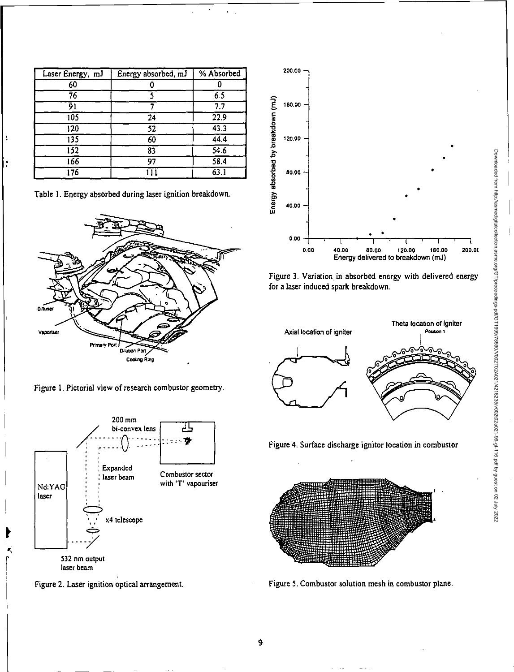| Laser Energy, mJ | Energy absorbed, mJ | % Absorbed       |
|------------------|---------------------|------------------|
| 60               |                     |                  |
| 76               |                     | 6.5              |
| 91               |                     | $\overline{7.7}$ |
| $\overline{105}$ | 24                  | 22.9             |
| $\overline{120}$ | 52                  | 43.3             |
| $\overline{135}$ | 60                  | 44.4             |
| 152              | 83                  | 54.6             |
| $\overline{166}$ | 97                  | 58.4             |
| 176              |                     | 63.1             |

Table 1. Energy absorbed during laser ignition breakdown.



Figure I. Pictorial view of research combustor geometry.







Figure 3. Variation, in absorbed energy with delivered energy for a laser induced spark breakdown.



Figure 4. Surface discharge ignitor location in combustor



Figure 5, Combustor solution mesh in combustor plane.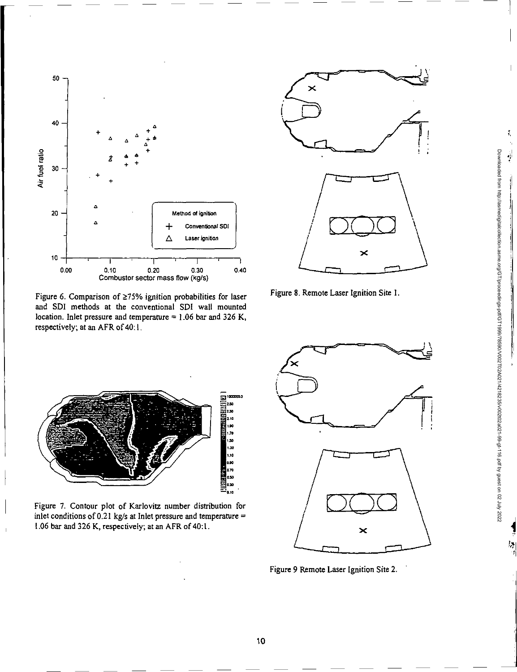

Figure 6. Comparison of  $\geq$ 75% ignition probabilities for laser and SDI methods at the conventional SDI wall mounted location. Inlet pressure and temperature = 1.06 bar and 326 K, respectively; at an AFR of 40:1.



Figure 8. Remote Laser Ignition Site 1.



Figure 7. Contour plot of Karlovitz number distribution for inlet conditions of 0.21 kg/s at Inlet pressure and temperature  $=$ 1.06 bar and 326K, respectively; at an AFR of 40:1.



Figure 9 Remote Laser Ignition Site 2.

Downloaded from http://asmedigitalcollection.asme.org/GT/proceedings-pdf/GT1999/78590/V002T02A021/4218235/v002t02a021-99-gt-116.pdf by guest on 02 July 2022

Downloaded from http://asmedigitalcolled.ion.asme.org/CPT/poceedings-pdf/CF1/899/Y002T02A0214218256/00210240214716.pdf by guest on 02 July 2022

 $\ddot{\ddot{\imath}}$ 

 $\frac{1}{2}$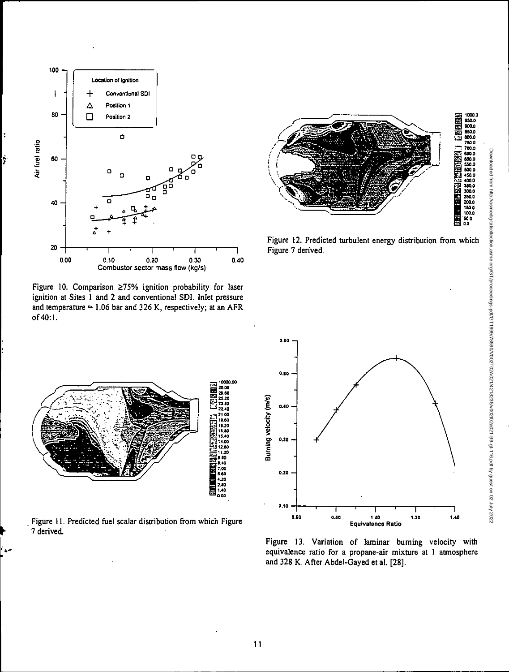

ż

Figure 10. Comparison ≥75% ignition probability for laser ignition at Sites 1 and 2 and conventional SDI. Inlet pressure and temperature  $= 1.06$  bar and 326 K, respectively; at an AFR of 40:1.



Figure 12. Predicted turbulent energy distribution from which Figure 7 derived.



Figure 11. Predicted fuel scalar distribution from which Figure 7 derived.



Figure 13. Variation of laminar buming velocity with equivalence ratio for a propane-air mixture at 1 atmosphere and 328 K. After Abdel-Gayed et al. [28].